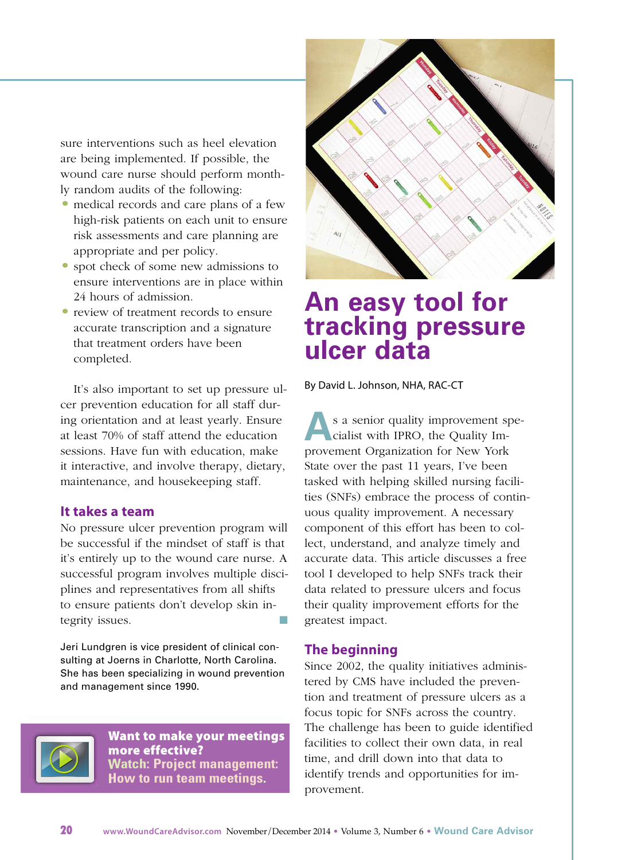sure interventions such as heel elevation are being implemented. If possible, the wound care nurse should perform monthly random audits of the following:

- medical records and care plans of a few high-risk patients on each unit to ensure risk assessments and care planning are appropriate and per policy.
- spot check of some new admissions to ensure interventions are in place within 24 hours of admission.
- review of treatment records to ensure accurate transcription and a signature that treatment orders have been completed.

It's also important to set up pressure ulcer prevention education for all staff during orientation and at least yearly. Ensure at least 70% of staff attend the education sessions. Have fun with education, make it interactive, and involve therapy, dietary, maintenance, and housekeeping staff.

### **It takes a team**

No pressure ulcer prevention program will be successful if the mindset of staff is that it's entirely up to the wound care nurse. A successful program involves multiple disciplines and representatives from all shifts to ensure patients don't develop skin integrity issues.  $\blacksquare$ 

Jeri Lundgren is vice president of clinical consulting at Joerns in Charlotte, North Carolina. She has been specializing in wound prevention and management since 1990.



**Want to make your [meetings](https://www.youtube.com/watch?v=xW0CjH95K3Q) more [effective?](https://www.youtube.com/watch?v=xW0CjH95K3Q) Watch: Project [management:](https://www.youtube.com/watch?v=xW0CjH95K3Q) How to run team [meetings.](https://www.youtube.com/watch?v=xW0CjH95K3Q)**



# **An easy tool for tracking pressure ulcer data**

By David L. Johnson, NHA, RAC-CT

**A**s a senior quality improvement spe-<br>cialist with IPRO, the Quality Imcialist with IPRO, the Quality Improvement Organization for New York State over the past 11 years, I've been tasked with helping skilled nursing facilities (SNFs) embrace the process of continuous quality improvement. A necessary component of this effort has been to collect, understand, and analyze timely and accurate data. This article discusses a free tool I developed to help SNFs track their data related to pressure ulcers and focus their quality improvement efforts for the greatest impact.

### **The beginning**

Since 2002, the quality initiatives administered by CMS have included the prevention and treatment of pressure ulcers as a focus topic for SNFs across the country. The challenge has been to guide identified facilities to collect their own data, in real time, and drill down into that data to identify trends and opportunities for improvement.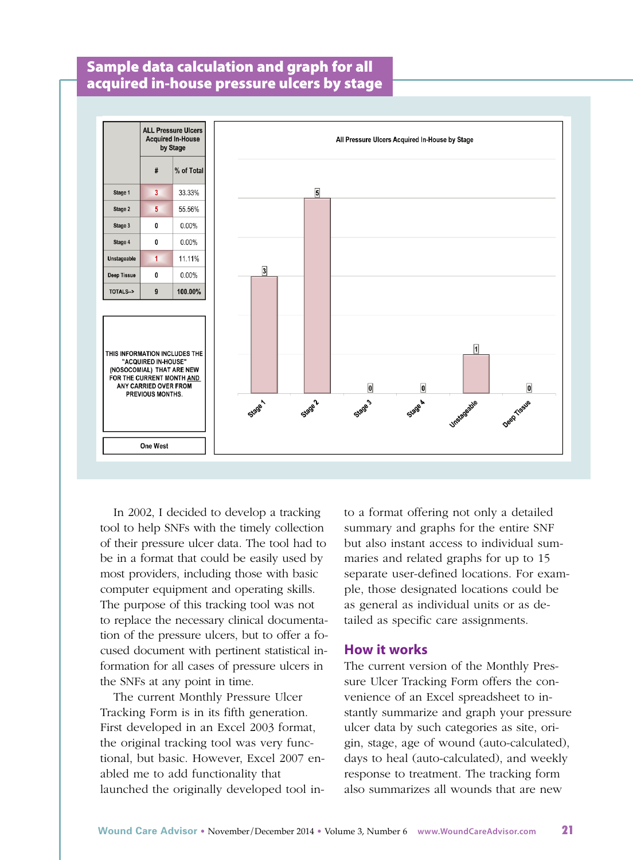## **Sample data calculation and graph for all acquired in-house pressure ulcers by stage**



In 2002, I decided to develop a tracking tool to help SNFs with the timely collection of their pressure ulcer data. The tool had to be in a format that could be easily used by most providers, including those with basic computer equipment and operating skills. The purpose of this tracking tool was not to replace the necessary clinical documentation of the pressure ulcers, but to offer a focused document with pertinent statistical information for all cases of pressure ulcers in the SNFs at any point in time.

The current Monthly Pressure Ulcer Tracking Form is in its fifth generation. First developed in an Excel 2003 format, the original tracking tool was very functional, but basic. However, Excel 2007 enabled me to add functionality that launched the originally developed tool into a format offering not only a detailed summary and graphs for the entire SNF but also instant access to individual summaries and related graphs for up to 15 separate user-defined locations. For example, those designated locations could be as general as individual units or as detailed as specific care assignments.

#### **How it works**

The current version of the Monthly Pressure Ulcer Tracking Form offers the convenience of an Excel spreadsheet to instantly summarize and graph your pressure ulcer data by such categories as site, origin, stage, age of wound (auto-calculated), days to heal (auto-calculated), and weekly response to treatment. The tracking form also summarizes all wounds that are new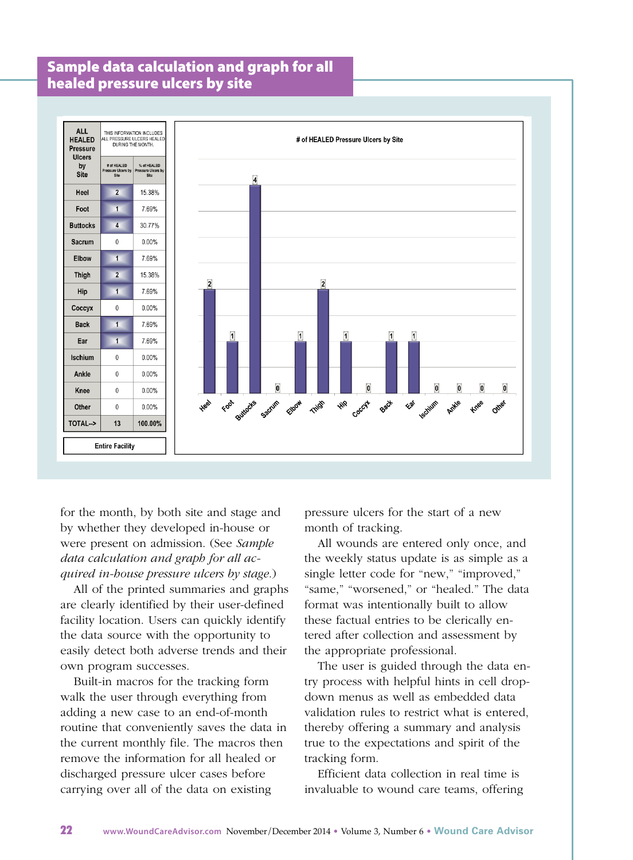### **Sample data calculation and graph for all healed pressure ulcers by site**



for the month, by both site and stage and by whether they developed in-house or were present on admission. (See *Sample data calculation and graph for all acquired in-house pressure ulcers by stage*.)

All of the printed summaries and graphs are clearly identified by their user-defined facility location. Users can quickly identify the data source with the opportunity to easily detect both adverse trends and their own program successes.

Built-in macros for the tracking form walk the user through everything from adding a new case to an end-of-month routine that conveniently saves the data in the current monthly file. The macros then remove the information for all healed or discharged pressure ulcer cases before carrying over all of the data on existing

pressure ulcers for the start of a new month of tracking.

All wounds are entered only once, and the weekly status update is as simple as a single letter code for "new," "improved," "same," "worsened," or "healed." The data format was intentionally built to allow these factual entries to be clerically entered after collection and assessment by the appropriate professional.

The user is guided through the data entry process with helpful hints in cell dropdown menus as well as embedded data validation rules to restrict what is entered, thereby offering a summary and analysis true to the expectations and spirit of the tracking form.

Efficient data collection in real time is invaluable to wound care teams, offering